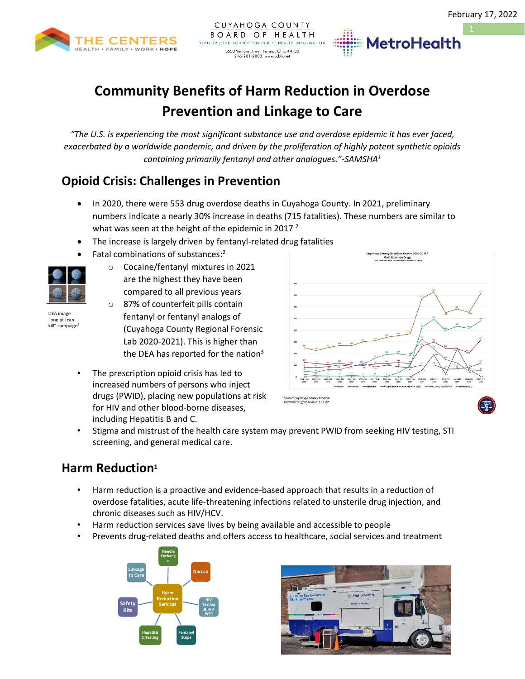

# **Community Benefits of Harm Reduction in Overdose Prevention and Linkage to Care**

*"The U.S. is experiencing the most significant substance use and overdose epidemic it has ever faced, exacerbated by a worldwide pandemic, and driven by the proliferation of highly potent synthetic opioids containing primarily fentanyl and other analogues."-SAMSHA<sup>1</sup>*

## **Opioid Crisis: Challenges in Prevention**

- In 2020, there were 553 drug overdose deaths in Cuyahoga County. In 2021, preliminary numbers indicate a nearly 30% increase in deaths (715 fatalities). These numbers are similar to what was seen at the height of the epidemic in 2017 $^2$
- The increase is largely driven by fentanyl-related drug fatalities
- Fatal combinations of substances:<sup>2</sup>



DEA image "one pill can kill" campaign<sup>3</sup>

- o Cocaine/fentanyl mixtures in 2021 are the highest they have been compared to all previous years
- o 87% of counterfeit pills contain fentanyl or fentanyl analogs of (Cuyahoga County Regional Forensic Lab 2020-2021). This is higher than the DEA has reported for the nation $3$
- The prescription opioid crisis has led to increased numbers of persons who inject drugs (PWID), placing new populations at risk for HIV and other blood-borne diseases, including Hepatitis B and C.



**MetroHealth** 

• Stigma and mistrust of the health care system may prevent PWID from seeking HIV testing, STI screening, and general medical care.

# **Harm Reduction<sup>1</sup>**

- Harm reduction is a proactive and evidence-based approach that results in a reduction of overdose fatalities, acute life-threatening infections related to unsterile drug injection, and chronic diseases such as HIV/HCV.
- Harm reduction services save lives by being available and accessible to people
- Prevents drug-related deaths and offers access to healthcare, social services and treatment



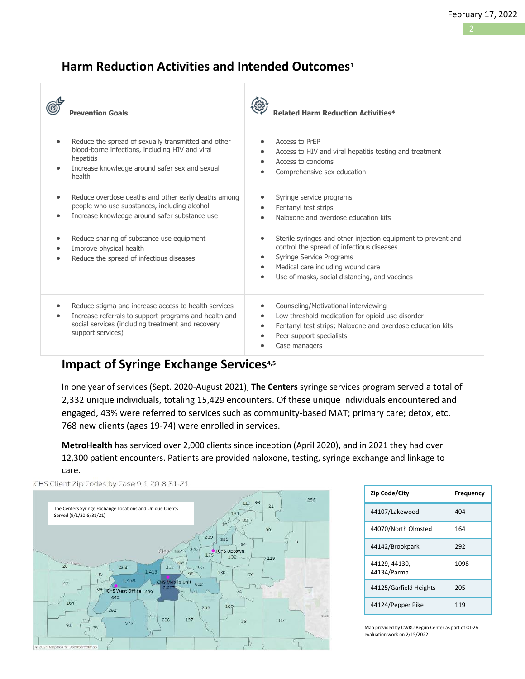### **Harm Reduction Activities and Intended Outcomes<sup>1</sup>**

|           | <b>Prevention Goals</b>                                                                                                                                                                 | <b>Related Harm Reduction Activities*</b>                                                                                                                                                                                                                           |
|-----------|-----------------------------------------------------------------------------------------------------------------------------------------------------------------------------------------|---------------------------------------------------------------------------------------------------------------------------------------------------------------------------------------------------------------------------------------------------------------------|
|           | Reduce the spread of sexually transmitted and other<br>blood-borne infections, including HIV and viral<br>hepatitis<br>Increase knowledge around safer sex and sexual<br>health         | Access to PrEP<br>Access to HIV and viral hepatitis testing and treatment<br>$\bullet$<br>Access to condoms<br>$\bullet$<br>Comprehensive sex education                                                                                                             |
| $\bullet$ | Reduce overdose deaths and other early deaths among<br>people who use substances, including alcohol<br>Increase knowledge around safer substance use                                    | Syringe service programs<br>$\bullet$<br>Fentanyl test strips<br>Naloxone and overdose education kits<br>$\bullet$                                                                                                                                                  |
|           | Reduce sharing of substance use equipment<br>Improve physical health<br>Reduce the spread of infectious diseases                                                                        | Sterile syringes and other injection equipment to prevent and<br>control the spread of infectious diseases<br>Syringe Service Programs<br>$\bullet$<br>Medical care including wound care<br>$\bullet$<br>Use of masks, social distancing, and vaccines<br>$\bullet$ |
| $\bullet$ | Reduce stigma and increase access to health services<br>Increase referrals to support programs and health and<br>social services (including treatment and recovery<br>support services) | Counseling/Motivational interviewing<br>$\bullet$<br>Low threshold medication for opioid use disorder<br>$\bullet$<br>Fentanyl test strips; Naloxone and overdose education kits<br>$\bullet$<br>Peer support specialists<br>$\bullet$<br>Case managers             |

### **Impact of Syringe Exchange Services4,5**

In one year of services (Sept. 2020-August 2021), **The Centers** syringe services program served a total of 2,332 unique individuals, totaling 15,429 encounters. Of these unique individuals encountered and engaged, 43% were referred to services such as community-based MAT; primary care; detox, etc. 768 new clients (ages 19-74) were enrolled in services.

**MetroHealth** has serviced over 2,000 clients since inception (April 2020), and in 2021 they had over 12,300 patient encounters. Patients are provided naloxone, testing, syringe exchange and linkage to care.



| Zip Code/City                | Frequency |
|------------------------------|-----------|
| 44107/Lakewood               | 404       |
| 44070/North Olmsted          | 164       |
| 44142/Brookpark              | 292       |
| 44129, 44130,<br>44134/Parma | 1098      |
| 44125/Garfield Heights       | 205       |
| 44124/Pepper Pike            | 119       |

Map provided by CWRU Begun Center as part of OD2A evaluation work on 2/15/2022

CHS Client Zip Codes by Case 9.1.20-8.31.21